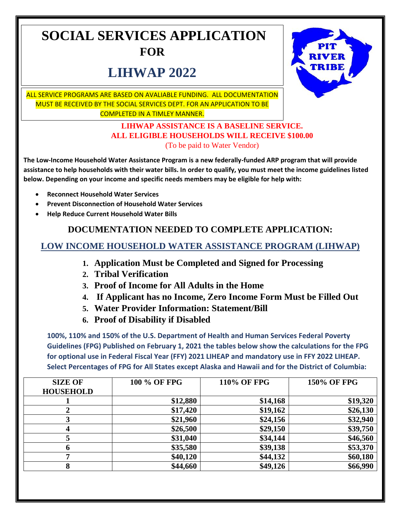## **SOCIAL SERVICES APPLICATION FOR**

# **LIHWAP 2022**



ALL SERVICE PROGRAMS ARE BASED ON AVALIABLE FUNDING. ALL DOCUMENTATION MUST BE RECEIVED BY THE SOCIAL SERVICES DEPT. FOR AN APPLICATION TO BE COMPLETED IN A TIMLEY MANNER.

#### **LIHWAP ASSISTANCE IS A BASELINE SERVICE. ALL ELIGIBLE HOUSEHOLDS WILL RECEIVE \$100.00**  (To be paid to Water Vendor)

**The Low-Income Household Water Assistance Program is a new federally-funded ARP program that will provide assistance to help households with their water bills. In order to qualify, you must meet the income guidelines listed below. Depending on your income and specific needs members may be eligible for help with:**

- **Reconnect Household Water Services**
- **Prevent Disconnection of Household Water Services**
- **Help Reduce Current Household Water Bills**

## **DOCUMENTATION NEEDED TO COMPLETE APPLICATION:**

### **LOW INCOME HOUSEHOLD WATER ASSISTANCE PROGRAM (LIHWAP)**

- **1. Application Must be Completed and Signed for Processing**
- **2. Tribal Verification**
- **3. Proof of Income for All Adults in the Home**
- **4. If Applicant has no Income, Zero Income Form Must be Filled Out**
- **5. Water Provider Information: Statement/Bill**
- **6. Proof of Disability if Disabled**

**100%, 110% and 150% of the U.S. Department of Health and Human Services Federal Poverty Guidelines (FPG) Published on February 1, 2021 the tables below show the calculations for the FPG for optional use in Federal Fiscal Year (FFY) 2021 LIHEAP and mandatory use in FFY 2022 LIHEAP. Select Percentages of FPG for All States except Alaska and Hawaii and for the District of Columbia:**

| <b>SIZE OF</b><br><b>HOUSEHOLD</b> | 100 % OF FPG | <b>110% OF FPG</b> | <b>150% OF FPG</b> |  |
|------------------------------------|--------------|--------------------|--------------------|--|
|                                    | \$12,880     | \$14,168           | \$19,320           |  |
|                                    | \$17,420     | \$19,162           | \$26,130           |  |
|                                    | \$21,960     | \$24,156           | \$32,940           |  |
|                                    | \$26,500     | \$29,150           | \$39,750           |  |
|                                    | \$31,040     | \$34,144           | \$46,560           |  |
| h                                  | \$35,580     | \$39,138           | \$53,370           |  |
|                                    | \$40,120     | \$44,132           | \$60,180           |  |
| 8                                  | \$44,660     | \$49,126           | \$66,990           |  |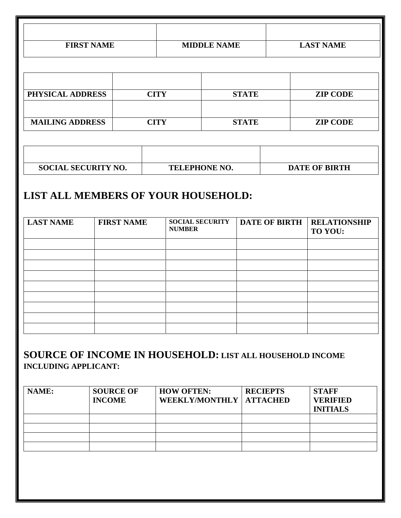| <b>FIRST NAME</b>                                                                                          |                        | <b>MIDDLE NAME</b> |                                         | <b>LAST NAME</b> |  |                      |                                |
|------------------------------------------------------------------------------------------------------------|------------------------|--------------------|-----------------------------------------|------------------|--|----------------------|--------------------------------|
| PHYSICAL ADDRESS                                                                                           |                        |                    | <b>CITY</b>                             | <b>STATE</b>     |  |                      | <b>ZIP CODE</b>                |
|                                                                                                            | <b>MAILING ADDRESS</b> |                    | <b>CITY</b>                             | <b>STATE</b>     |  | <b>ZIP CODE</b>      |                                |
| <b>SOCIAL SECURITY NO.</b><br>TELEPHONE NO.<br><b>DATE OF BIRTH</b><br>LIST ALL MEMBERS OF YOUR HOUSEHOLD: |                        |                    |                                         |                  |  |                      |                                |
| <b>LAST NAME</b>                                                                                           | <b>FIRST NAME</b>      |                    | <b>SOCIAL SECURITY</b><br><b>NUMBER</b> |                  |  | <b>DATE OF BIRTH</b> | <b>RELATIONSHIP</b><br>TO YOU: |
| <b>SOURCE OF INCOME IN HOUSEHOLD: LIST ALL HOUSEHOLD INCOME</b><br><b>INCLUDING APPLICANT:</b><br>NAME:    | <b>SOURCE OF</b>       |                    | <b>HOW OFTEN:</b>                       |                  |  | <b>RECIEPTS</b>      | <b>STAFF</b>                   |

| NAME: | <b>SOURCE OF</b><br><b>INCOME</b> | <b>HOW OFTEN:</b><br>WEEKLY/MONTHLY   ATTACHED | <b>RECIEPTS</b> | <b>STAFF</b><br><b>VERIFIED</b><br><b>INITIALS</b> |
|-------|-----------------------------------|------------------------------------------------|-----------------|----------------------------------------------------|
|       |                                   |                                                |                 |                                                    |
|       |                                   |                                                |                 |                                                    |
|       |                                   |                                                |                 |                                                    |
|       |                                   |                                                |                 |                                                    |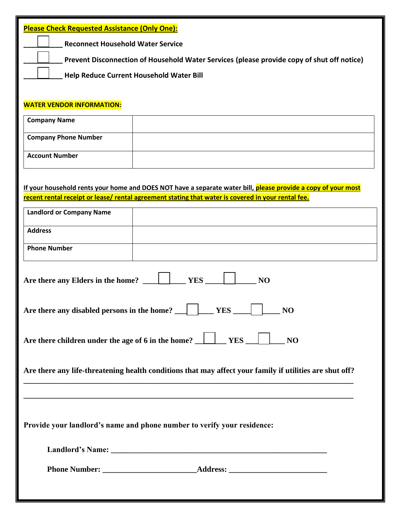| <b>Please Check Requested Assistance (Only One):</b>                                                          |  |  |  |  |
|---------------------------------------------------------------------------------------------------------------|--|--|--|--|
| <b>Reconnect Household Water Service</b>                                                                      |  |  |  |  |
| Prevent Disconnection of Household Water Services (please provide copy of shut off notice)                    |  |  |  |  |
| Help Reduce Current Household Water Bill                                                                      |  |  |  |  |
|                                                                                                               |  |  |  |  |
| <b>WATER VENDOR INFORMATION:</b>                                                                              |  |  |  |  |
| <b>Company Name</b>                                                                                           |  |  |  |  |
| <b>Company Phone Number</b>                                                                                   |  |  |  |  |
| <b>Account Number</b>                                                                                         |  |  |  |  |
|                                                                                                               |  |  |  |  |
| If your household rents your home and DOES NOT have a separate water bill, please provide a copy of your most |  |  |  |  |
| recent rental receipt or lease/ rental agreement stating that water is covered in your rental fee.            |  |  |  |  |
| <b>Landlord or Company Name</b>                                                                               |  |  |  |  |
| <b>Address</b>                                                                                                |  |  |  |  |
| <b>Phone Number</b>                                                                                           |  |  |  |  |
|                                                                                                               |  |  |  |  |
| Are there any Elders in the home?<br><b>YES</b><br>N <sub>O</sub>                                             |  |  |  |  |
| $\equiv$ NO                                                                                                   |  |  |  |  |
| Are there children under the age of 6 in the home? $\Box$ YES $\Box$ NO                                       |  |  |  |  |
| Are there any life-threatening health conditions that may affect your family if utilities are shut off?       |  |  |  |  |
|                                                                                                               |  |  |  |  |
| Provide your landlord's name and phone number to verify your residence:                                       |  |  |  |  |
|                                                                                                               |  |  |  |  |
|                                                                                                               |  |  |  |  |
|                                                                                                               |  |  |  |  |